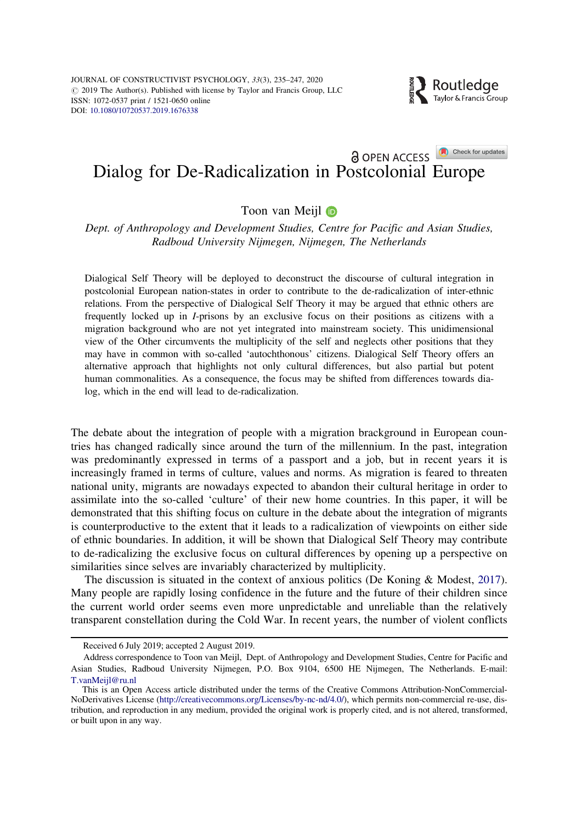

# <span id="page-0-0"></span>**Dialog for De-Radicalization in Postcolonial Europe**

# Toon van Meijl **D**

Dept. of Anthropology and Development Studies, Centre for Pacific and Asian Studies, Radboud University Nijmegen, Nijmegen, The Netherlands

Dialogical Self Theory will be deployed to deconstruct the discourse of cultural integration in postcolonial European nation-states in order to contribute to the de-radicalization of inter-ethnic relations. From the perspective of Dialogical Self Theory it may be argued that ethnic others are frequently locked up in I-prisons by an exclusive focus on their positions as citizens with a migration background who are not yet integrated into mainstream society. This unidimensional view of the Other circumvents the multiplicity of the self and neglects other positions that they may have in common with so-called 'autochthonous' citizens. Dialogical Self Theory offers an alternative approach that highlights not only cultural differences, but also partial but potent human commonalities. As a consequence, the focus may be shifted from differences towards dialog, which in the end will lead to de-radicalization.

The debate about the integration of people with a migration brackground in European countries has changed radically since around the turn of the millennium. In the past, integration was predominantly expressed in terms of a passport and a job, but in recent years it is increasingly framed in terms of culture, values and norms. As migration is feared to threaten national unity, migrants are nowadays expected to abandon their cultural heritage in order to assimilate into the so-called 'culture' of their new home countries. In this paper, it will be demonstrated that this shifting focus on culture in the debate about the integration of migrants is counterproductive to the extent that it leads to a radicalization of viewpoints on either side of ethnic boundaries. In addition, it will be shown that Dialogical Self Theory may contribute to de-radicalizing the exclusive focus on cultural differences by opening up a perspective on similarities since selves are invariably characterized by multiplicity.

The discussion is situated in the context of anxious politics (De Koning & Modest, [2017](#page-10-0)). Many people are rapidly losing confidence in the future and the future of their children since the current world order seems even more unpredictable and unreliable than the relatively transparent constellation during the Cold War. In recent years, the number of violent conflicts

Received 6 July 2019; accepted 2 August 2019.

Address correspondence to Toon van Meijl, Dept. of Anthropology and Development Studies, Centre for Pacific and Asian Studies, Radboud University Nijmegen, P.O. Box 9104, 6500 HE Nijmegen, The Netherlands. E-mail: T.vanMeijl@ru.nl

This is an Open Access article distributed under the terms of the Creative Commons Attribution-NonCommercial-NoDerivatives License ([http://creativecommons.org/Licenses/by-nc-nd/4.0/\)](http://creativecommons.org/Licenses/by-nc-nd/4.0/), which permits non-commercial re-use, distribution, and reproduction in any medium, provided the original work is properly cited, and is not altered, transformed, or built upon in any way.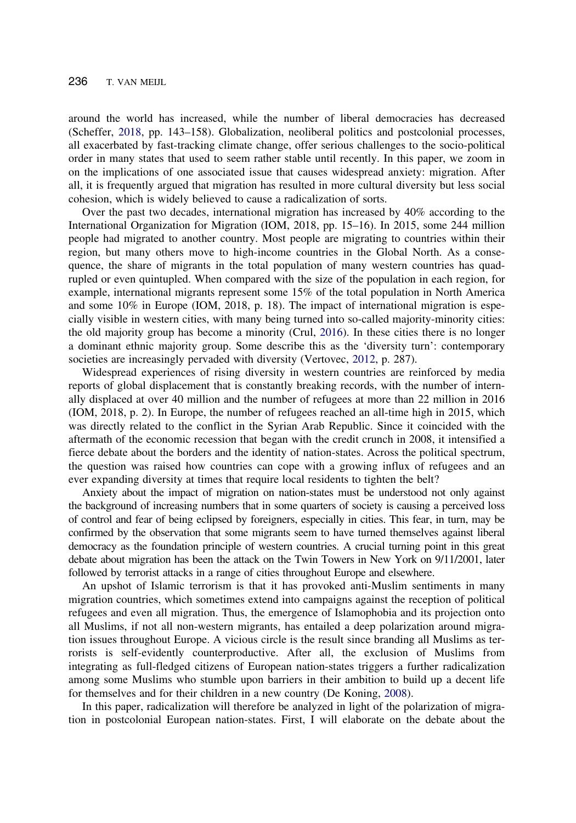<span id="page-1-0"></span>around the world has increased, while the number of liberal democracies has decreased (Scheffer, [2018,](#page-10-0) pp. 143–158). Globalization, neoliberal politics and postcolonial processes, all exacerbated by fast-tracking climate change, offer serious challenges to the socio-political order in many states that used to seem rather stable until recently. In this paper, we zoom in on the implications of one associated issue that causes widespread anxiety: migration. After all, it is frequently argued that migration has resulted in more cultural diversity but less social cohesion, which is widely believed to cause a radicalization of sorts.

Over the past two decades, international migration has increased by 40% according to the International Organization for Migration (IOM, 2018, pp. 15–16). In 2015, some 244 million people had migrated to another country. Most people are migrating to countries within their region, but many others move to high-income countries in the Global North. As a consequence, the share of migrants in the total population of many western countries has quadrupled or even quintupled. When compared with the size of the population in each region, for example, international migrants represent some 15% of the total population in North America and some 10% in Europe (IOM, 2018, p. 18). The impact of international migration is especially visible in western cities, with many being turned into so-called majority-minority cities: the old majority group has become a minority (Crul, [2016\)](#page-10-0). In these cities there is no longer a dominant ethnic majority group. Some describe this as the 'diversity turn': contemporary societies are increasingly pervaded with diversity (Vertovec, [2012](#page-11-0), p. 287).

Widespread experiences of rising diversity in western countries are reinforced by media reports of global displacement that is constantly breaking records, with the number of internally displaced at over 40 million and the number of refugees at more than 22 million in 2016 (IOM, 2018, p. 2). In Europe, the number of refugees reached an all-time high in 2015, which was directly related to the conflict in the Syrian Arab Republic. Since it coincided with the aftermath of the economic recession that began with the credit crunch in 2008, it intensified a fierce debate about the borders and the identity of nation-states. Across the political spectrum, the question was raised how countries can cope with a growing influx of refugees and an ever expanding diversity at times that require local residents to tighten the belt?

Anxiety about the impact of migration on nation-states must be understood not only against the background of increasing numbers that in some quarters of society is causing a perceived loss of control and fear of being eclipsed by foreigners, especially in cities. This fear, in turn, may be confirmed by the observation that some migrants seem to have turned themselves against liberal democracy as the foundation principle of western countries. A crucial turning point in this great debate about migration has been the attack on the Twin Towers in New York on 9/11/2001, later followed by terrorist attacks in a range of cities throughout Europe and elsewhere.

An upshot of Islamic terrorism is that it has provoked anti-Muslim sentiments in many migration countries, which sometimes extend into campaigns against the reception of political refugees and even all migration. Thus, the emergence of Islamophobia and its projection onto all Muslims, if not all non-western migrants, has entailed a deep polarization around migration issues throughout Europe. A vicious circle is the result since branding all Muslims as terrorists is self-evidently counterproductive. After all, the exclusion of Muslims from integrating as full-fledged citizens of European nation-states triggers a further radicalization among some Muslims who stumble upon barriers in their ambition to build up a decent life for themselves and for their children in a new country (De Koning, [2008](#page-10-0)).

In this paper, radicalization will therefore be analyzed in light of the polarization of migration in postcolonial European nation-states. First, I will elaborate on the debate about the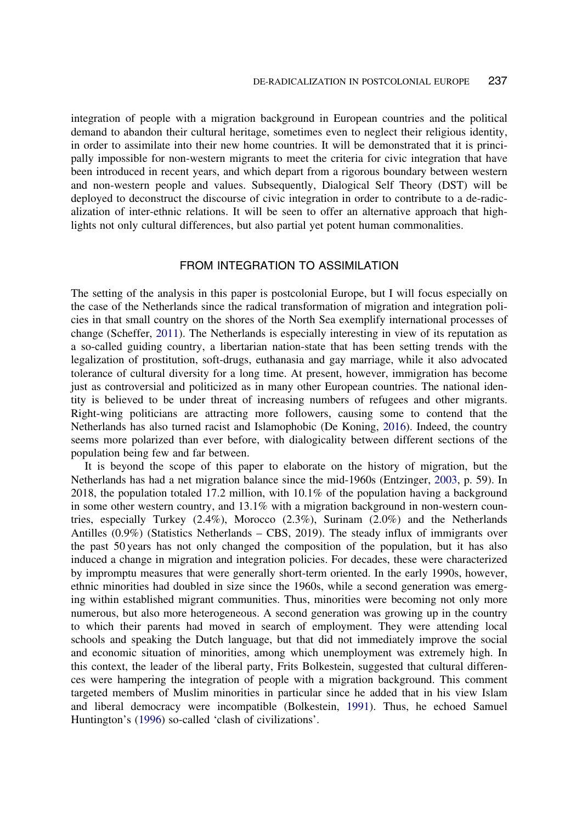<span id="page-2-0"></span>integration of people with a migration background in European countries and the political demand to abandon their cultural heritage, sometimes even to neglect their religious identity, in order to assimilate into their new home countries. It will be demonstrated that it is principally impossible for non-western migrants to meet the criteria for civic integration that have been introduced in recent years, and which depart from a rigorous boundary between western and non-western people and values. Subsequently, Dialogical Self Theory (DST) will be deployed to deconstruct the discourse of civic integration in order to contribute to a de-radicalization of inter-ethnic relations. It will be seen to offer an alternative approach that highlights not only cultural differences, but also partial yet potent human commonalities.

### FROM INTEGRATION TO ASSIMILATION

The setting of the analysis in this paper is postcolonial Europe, but I will focus especially on the case of the Netherlands since the radical transformation of migration and integration policies in that small country on the shores of the North Sea exemplify international processes of change (Scheffer, [2011](#page-11-0)). The Netherlands is especially interesting in view of its reputation as a so-called guiding country, a libertarian nation-state that has been setting trends with the legalization of prostitution, soft-drugs, euthanasia and gay marriage, while it also advocated tolerance of cultural diversity for a long time. At present, however, immigration has become just as controversial and politicized as in many other European countries. The national identity is believed to be under threat of increasing numbers of refugees and other migrants. Right-wing politicians are attracting more followers, causing some to contend that the Netherlands has also turned racist and Islamophobic (De Koning, [2016](#page-7-0)). Indeed, the country seems more polarized than ever before, with dialogicality between different sections of the population being few and far between.

It is beyond the scope of this paper to elaborate on the history of migration, but the Netherlands has had a net migration balance since the mid-1960s (Entzinger, [2003](#page-9-0), p. 59). In 2018, the population totaled 17.2 million, with 10.1% of the population having a background in some other western country, and 13.1% with a migration background in non-western countries, especially Turkey (2.4%), Morocco (2.3%), Surinam (2.0%) and the Netherlands Antilles (0.9%) (Statistics Netherlands – CBS, 2019). The steady influx of immigrants over the past 50 years has not only changed the composition of the population, but it has also induced a change in migration and integration policies. For decades, these were characterized by impromptu measures that were generally short-term oriented. In the early 1990s, however, ethnic minorities had doubled in size since the 1960s, while a second generation was emerging within established migrant communities. Thus, minorities were becoming not only more numerous, but also more heterogeneous. A second generation was growing up in the country to which their parents had moved in search of employment. They were attending local schools and speaking the Dutch language, but that did not immediately improve the social and economic situation of minorities, among which unemployment was extremely high. In this context, the leader of the liberal party, Frits Bolkestein, suggested that cultural differences were hampering the integration of people with a migration background. This comment targeted members of Muslim minorities in particular since he added that in his view Islam and liberal democracy were incompatible (Bolkestein, [1991](#page-10-0)). Thus, he echoed Samuel Huntington's [\(1996](#page-10-0)) so-called 'clash of civilizations'.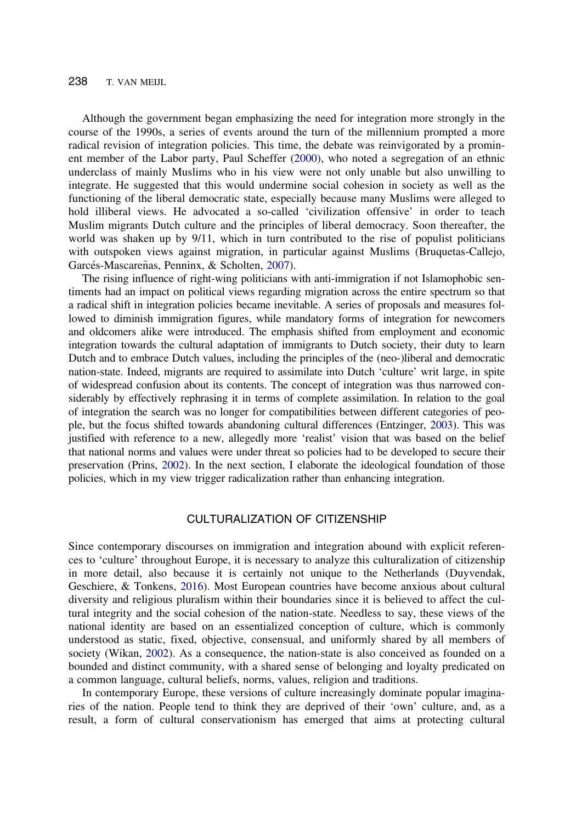#### <span id="page-3-0"></span>238 T. VAN MEIJL

Although the government began emphasizing the need for integration more strongly in the course of the 1990s, a series of events around the turn of the millennium prompted a more radical revision of integration policies. This time, the debate was reinvigorated by a prominent member of the Labor party, Paul Scheffer [\(2000\)](#page-11-0), who noted a segregation of an ethnic underclass of mainly Muslims who in his view were not only unable but also unwilling to integrate. He suggested that this would undermine social cohesion in society as well as the functioning of the liberal democratic state, especially because many Muslims were alleged to hold illiberal views. He advocated a so-called 'civilization offensive' in order to teach Muslim migrants Dutch culture and the principles of liberal democracy. Soon thereafter, the world was shaken up by 9/11, which in turn contributed to the rise of populist politicians with outspoken views against migration, in particular against Muslims (Bruquetas-Callejo, Garcés-Mascareñas, Penninx, & Scholten, [2007](#page-10-0)).

The rising influence of right-wing politicians with anti-immigration if not Islamophobic sentiments had an impact on political views regarding migration across the entire spectrum so that a radical shift in integration policies became inevitable. A series of proposals and measures followed to diminish immigration figures, while mandatory forms of integration for newcomers and oldcomers alike were introduced. The emphasis shifted from employment and economic integration towards the cultural adaptation of immigrants to Dutch society, their duty to learn Dutch and to embrace Dutch values, including the principles of the (neo-)liberal and democratic nation-state. Indeed, migrants are required to assimilate into Dutch 'culture' writ large, in spite of widespread confusion about its contents. The concept of integration was thus narrowed considerably by effectively rephrasing it in terms of complete assimilation. In relation to the goal of integration the search was no longer for compatibilities between different categories of people, but the focus shifted towards abandoning cultural differences (Entzinger, [2003](#page-9-0)). This was justified with reference to a new, allegedly more 'realist' vision that was based on the belief that national norms and values were under threat so policies had to be developed to secure their preservation (Prins, [2002](#page-11-0)). In the next section, I elaborate the ideological foundation of those policies, which in my view trigger radicalization rather than enhancing integration.

# CULTURALIZATION OF CITIZENSHIP

Since contemporary discourses on immigration and integration abound with explicit references to 'culture' throughout Europe, it is necessary to analyze this culturalization of citizenship in more detail, also because it is certainly not unique to the Netherlands (Duyvendak, Geschiere, & Tonkens, [2016\)](#page-10-0). Most European countries have become anxious about cultural diversity and religious pluralism within their boundaries since it is believed to affect the cultural integrity and the social cohesion of the nation-state. Needless to say, these views of the national identity are based on an essentialized conception of culture, which is commonly understood as static, fixed, objective, consensual, and uniformly shared by all members of society (Wikan, [2002\)](#page-11-0). As a consequence, the nation-state is also conceived as founded on a bounded and distinct community, with a shared sense of belonging and loyalty predicated on a common language, cultural beliefs, norms, values, religion and traditions.

In contemporary Europe, these versions of culture increasingly dominate popular imaginaries of the nation. People tend to think they are deprived of their 'own' culture, and, as a result, a form of cultural conservationism has emerged that aims at protecting cultural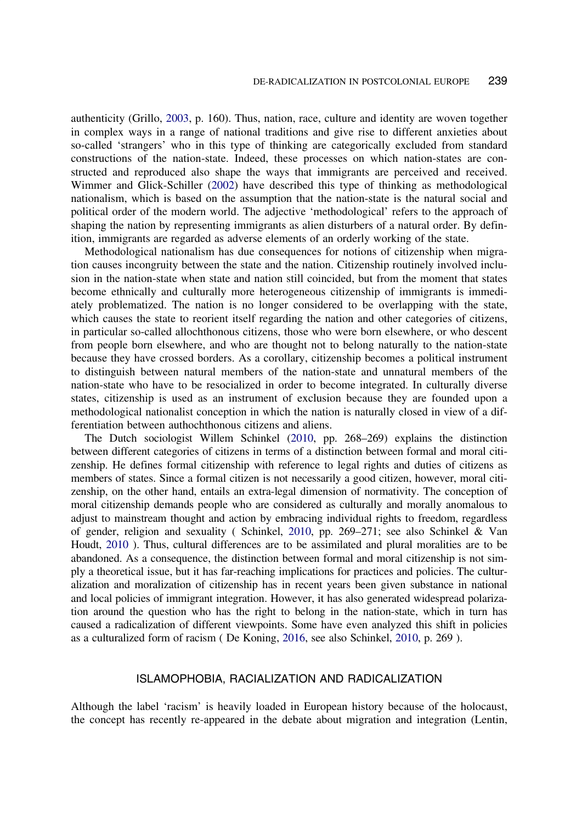<span id="page-4-0"></span>authenticity (Grillo, [2003](#page-10-0), p. 160). Thus, nation, race, culture and identity are woven together in complex ways in a range of national traditions and give rise to different anxieties about so-called 'strangers' who in this type of thinking are categorically excluded from standard constructions of the nation-state. Indeed, these processes on which nation-states are constructed and reproduced also shape the ways that immigrants are perceived and received. Wimmer and Glick-Schiller [\(2002](#page-11-0)) have described this type of thinking as methodological nationalism, which is based on the assumption that the nation-state is the natural social and political order of the modern world. The adjective 'methodological' refers to the approach of shaping the nation by representing immigrants as alien disturbers of a natural order. By definition, immigrants are regarded as adverse elements of an orderly working of the state.

Methodological nationalism has due consequences for notions of citizenship when migration causes incongruity between the state and the nation. Citizenship routinely involved inclusion in the nation-state when state and nation still coincided, but from the moment that states become ethnically and culturally more heterogeneous citizenship of immigrants is immediately problematized. The nation is no longer considered to be overlapping with the state, which causes the state to reorient itself regarding the nation and other categories of citizens, in particular so-called allochthonous citizens, those who were born elsewhere, or who descent from people born elsewhere, and who are thought not to belong naturally to the nation-state because they have crossed borders. As a corollary, citizenship becomes a political instrument to distinguish between natural members of the nation-state and unnatural members of the nation-state who have to be resocialized in order to become integrated. In culturally diverse states, citizenship is used as an instrument of exclusion because they are founded upon a methodological nationalist conception in which the nation is naturally closed in view of a differentiation between authochthonous citizens and aliens.

The Dutch sociologist Willem Schinkel [\(2010](#page-7-0), pp. 268–269) explains the distinction between different categories of citizens in terms of a distinction between formal and moral citizenship. He defines formal citizenship with reference to legal rights and duties of citizens as members of states. Since a formal citizen is not necessarily a good citizen, however, moral citizenship, on the other hand, entails an extra-legal dimension of normativity. The conception of moral citizenship demands people who are considered as culturally and morally anomalous to adjust to mainstream thought and action by embracing individual rights to freedom, regardless of gender, religion and sexuality ( Schinkel, [2010](#page-7-0), pp. 269–271; see also Schinkel & Van Houdt, [2010](#page-11-0) ). Thus, cultural differences are to be assimilated and plural moralities are to be abandoned. As a consequence, the distinction between formal and moral citizenship is not simply a theoretical issue, but it has far-reaching implications for practices and policies. The culturalization and moralization of citizenship has in recent years been given substance in national and local policies of immigrant integration. However, it has also generated widespread polarization around the question who has the right to belong in the nation-state, which in turn has caused a radicalization of different viewpoints. Some have even analyzed this shift in policies as a culturalized form of racism ( De Koning, [2016,](#page-7-0) see also Schinkel, [2010,](#page-7-0) p. 269 ).

#### ISLAMOPHOBIA, RACIALIZATION AND RADICALIZATION

Although the label 'racism' is heavily loaded in European history because of the holocaust, the concept has recently re-appeared in the debate about migration and integration (Lentin,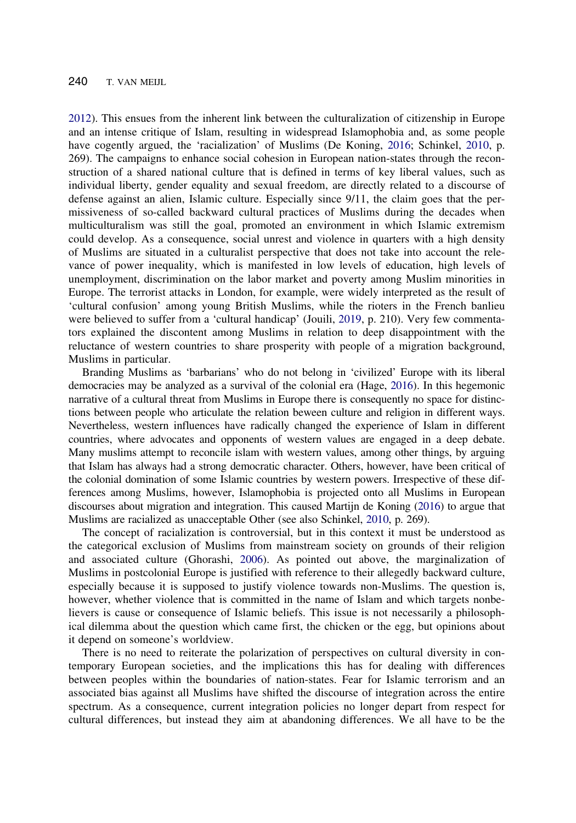<span id="page-5-0"></span>[2012\)](#page-10-0). This ensues from the inherent link between the culturalization of citizenship in Europe and an intense critique of Islam, resulting in widespread Islamophobia and, as some people have cogently argued, the 'racialization' of Muslims (De Koning, [2016](#page-7-0); Schinkel, [2010,](#page-7-0) p. 269). The campaigns to enhance social cohesion in European nation-states through the reconstruction of a shared national culture that is defined in terms of key liberal values, such as individual liberty, gender equality and sexual freedom, are directly related to a discourse of defense against an alien, Islamic culture. Especially since 9/11, the claim goes that the permissiveness of so-called backward cultural practices of Muslims during the decades when multiculturalism was still the goal, promoted an environment in which Islamic extremism could develop. As a consequence, social unrest and violence in quarters with a high density of Muslims are situated in a culturalist perspective that does not take into account the relevance of power inequality, which is manifested in low levels of education, high levels of unemployment, discrimination on the labor market and poverty among Muslim minorities in Europe. The terrorist attacks in London, for example, were widely interpreted as the result of 'cultural confusion' among young British Muslims, while the rioters in the French banlieu were believed to suffer from a 'cultural handicap' (Jouili, [2019](#page-10-0), p. 210). Very few commentators explained the discontent among Muslims in relation to deep disappointment with the reluctance of western countries to share prosperity with people of a migration background, Muslims in particular.

Branding Muslims as 'barbarians' who do not belong in 'civilized' Europe with its liberal democracies may be analyzed as a survival of the colonial era (Hage, [2016](#page-10-0)). In this hegemonic narrative of a cultural threat from Muslims in Europe there is consequently no space for distinctions between people who articulate the relation beween culture and religion in different ways. Nevertheless, western influences have radically changed the experience of Islam in different countries, where advocates and opponents of western values are engaged in a deep debate. Many muslims attempt to reconcile islam with western values, among other things, by arguing that Islam has always had a strong democratic character. Others, however, have been critical of the colonial domination of some Islamic countries by western powers. Irrespective of these differences among Muslims, however, Islamophobia is projected onto all Muslims in European discourses about migration and integration. This caused Martijn de Koning ([2016](#page-7-0)) to argue that Muslims are racialized as unacceptable Other (see also Schinkel, [2010](#page-7-0), p. 269).

The concept of racialization is controversial, but in this context it must be understood as the categorical exclusion of Muslims from mainstream society on grounds of their religion and associated culture (Ghorashi, [2006](#page-10-0)). As pointed out above, the marginalization of Muslims in postcolonial Europe is justified with reference to their allegedly backward culture, especially because it is supposed to justify violence towards non-Muslims. The question is, however, whether violence that is committed in the name of Islam and which targets nonbelievers is cause or consequence of Islamic beliefs. This issue is not necessarily a philosophical dilemma about the question which came first, the chicken or the egg, but opinions about it depend on someone's worldview.

There is no need to reiterate the polarization of perspectives on cultural diversity in contemporary European societies, and the implications this has for dealing with differences between peoples within the boundaries of nation-states. Fear for Islamic terrorism and an associated bias against all Muslims have shifted the discourse of integration across the entire spectrum. As a consequence, current integration policies no longer depart from respect for cultural differences, but instead they aim at abandoning differences. We all have to be the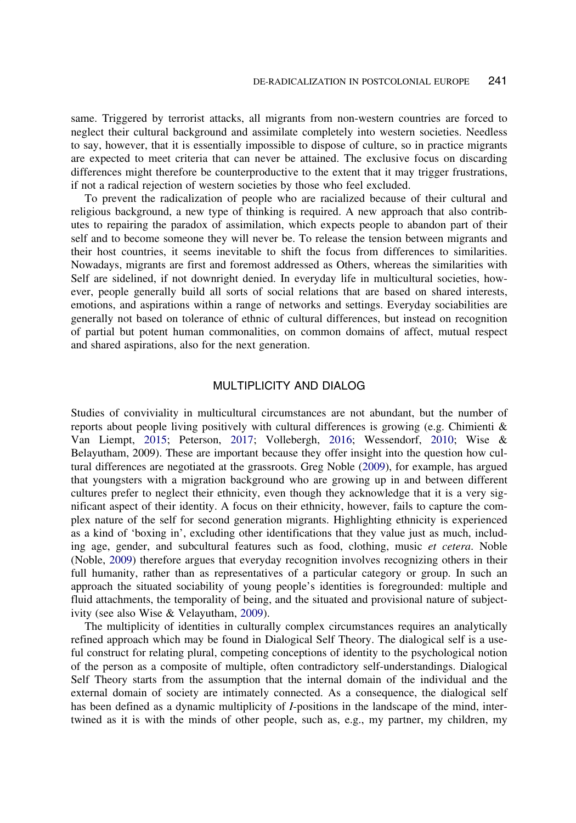<span id="page-6-0"></span>same. Triggered by terrorist attacks, all migrants from non-western countries are forced to neglect their cultural background and assimilate completely into western societies. Needless to say, however, that it is essentially impossible to dispose of culture, so in practice migrants are expected to meet criteria that can never be attained. The exclusive focus on discarding differences might therefore be counterproductive to the extent that it may trigger frustrations, if not a radical rejection of western societies by those who feel excluded.

To prevent the radicalization of people who are racialized because of their cultural and religious background, a new type of thinking is required. A new approach that also contributes to repairing the paradox of assimilation, which expects people to abandon part of their self and to become someone they will never be. To release the tension between migrants and their host countries, it seems inevitable to shift the focus from differences to similarities. Nowadays, migrants are first and foremost addressed as Others, whereas the similarities with Self are sidelined, if not downright denied. In everyday life in multicultural societies, however, people generally build all sorts of social relations that are based on shared interests, emotions, and aspirations within a range of networks and settings. Everyday sociabilities are generally not based on tolerance of ethnic of cultural differences, but instead on recognition of partial but potent human commonalities, on common domains of affect, mutual respect and shared aspirations, also for the next generation.

# MULTIPLICITY AND DIALOG

Studies of conviviality in multicultural circumstances are not abundant, but the number of reports about people living positively with cultural differences is growing (e.g. Chimienti & Van Liempt, [2015](#page-10-0); Peterson, [2017;](#page-11-0) Vollebergh, [2016;](#page-11-0) Wessendorf, [2010;](#page-11-0) Wise & Belayutham, 2009). These are important because they offer insight into the question how cultural differences are negotiated at the grassroots. Greg Noble [\(2009](#page-10-0)), for example, has argued that youngsters with a migration background who are growing up in and between different cultures prefer to neglect their ethnicity, even though they acknowledge that it is a very significant aspect of their identity. A focus on their ethnicity, however, fails to capture the complex nature of the self for second generation migrants. Highlighting ethnicity is experienced as a kind of 'boxing in', excluding other identifications that they value just as much, including age, gender, and subcultural features such as food, clothing, music et cetera. Noble (Noble, [2009\)](#page-10-0) therefore argues that everyday recognition involves recognizing others in their full humanity, rather than as representatives of a particular category or group. In such an approach the situated sociability of young people's identities is foregrounded: multiple and fluid attachments, the temporality of being, and the situated and provisional nature of subjectivity (see also Wise & Velayutham, [2009](#page-11-0)).

The multiplicity of identities in culturally complex circumstances requires an analytically refined approach which may be found in Dialogical Self Theory. The dialogical self is a useful construct for relating plural, competing conceptions of identity to the psychological notion of the person as a composite of multiple, often contradictory self-understandings. Dialogical Self Theory starts from the assumption that the internal domain of the individual and the external domain of society are intimately connected. As a consequence, the dialogical self has been defined as a dynamic multiplicity of I-positions in the landscape of the mind, intertwined as it is with the minds of other people, such as, e.g., my partner, my children, my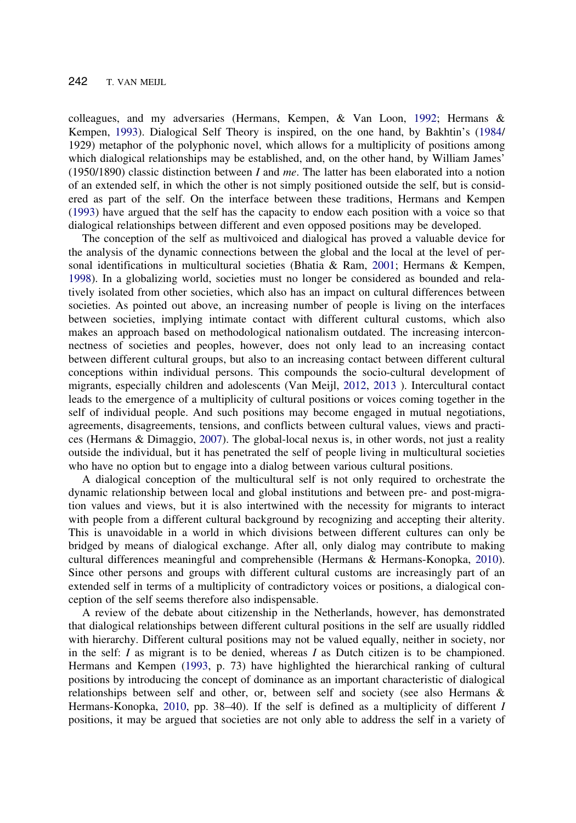<span id="page-7-0"></span>colleagues, and my adversaries (Hermans, Kempen, & Van Loon, [1992](#page-10-0); Hermans & Kempen, [1993\)](#page-8-0). Dialogical Self Theory is inspired, on the one hand, by Bakhtin's [\(1984](#page-10-0)/ 1929) metaphor of the polyphonic novel, which allows for a multiplicity of positions among which dialogical relationships may be established, and, on the other hand, by William James' (1950/1890) classic distinction between I and me. The latter has been elaborated into a notion of an extended self, in which the other is not simply positioned outside the self, but is considered as part of the self. On the interface between these traditions, Hermans and Kempen [\(1993](#page-8-0)) have argued that the self has the capacity to endow each position with a voice so that dialogical relationships between different and even opposed positions may be developed.

The conception of the self as multivoiced and dialogical has proved a valuable device for the analysis of the dynamic connections between the global and the local at the level of per-sonal identifications in multicultural societies (Bhatia & Ram, [2001;](#page-10-0) Hermans & Kempen, [1998\)](#page-10-0). In a globalizing world, societies must no longer be considered as bounded and relatively isolated from other societies, which also has an impact on cultural differences between societies. As pointed out above, an increasing number of people is living on the interfaces between societies, implying intimate contact with different cultural customs, which also makes an approach based on methodological nationalism outdated. The increasing interconnectness of societies and peoples, however, does not only lead to an increasing contact between different cultural groups, but also to an increasing contact between different cultural conceptions within individual persons. This compounds the socio-cultural development of migrants, especially children and adolescents (Van Meijl, [2012,](#page-11-0) [2013](#page-11-0) ). Intercultural contact leads to the emergence of a multiplicity of cultural positions or voices coming together in the self of individual people. And such positions may become engaged in mutual negotiations, agreements, disagreements, tensions, and conflicts between cultural values, views and practices (Hermans & Dimaggio, [2007\)](#page-10-0). The global-local nexus is, in other words, not just a reality outside the individual, but it has penetrated the self of people living in multicultural societies who have no option but to engage into a dialog between various cultural positions.

A dialogical conception of the multicultural self is not only required to orchestrate the dynamic relationship between local and global institutions and between pre- and post-migration values and views, but it is also intertwined with the necessity for migrants to interact with people from a different cultural background by recognizing and accepting their alterity. This is unavoidable in a world in which divisions between different cultures can only be bridged by means of dialogical exchange. After all, only dialog may contribute to making cultural differences meaningful and comprehensible (Hermans & Hermans-Konopka, [2010](#page-9-0)). Since other persons and groups with different cultural customs are increasingly part of an extended self in terms of a multiplicity of contradictory voices or positions, a dialogical conception of the self seems therefore also indispensable.

A review of the debate about citizenship in the Netherlands, however, has demonstrated that dialogical relationships between different cultural positions in the self are usually riddled with hierarchy. Different cultural positions may not be valued equally, neither in society, nor in the self:  $I$  as migrant is to be denied, whereas  $I$  as Dutch citizen is to be championed. Hermans and Kempen [\(1993](#page-8-0), p. 73) have highlighted the hierarchical ranking of cultural positions by introducing the concept of dominance as an important characteristic of dialogical relationships between self and other, or, between self and society (see also Hermans & Hermans-Konopka, [2010,](#page-9-0) pp. 38–40). If the self is defined as a multiplicity of different I positions, it may be argued that societies are not only able to address the self in a variety of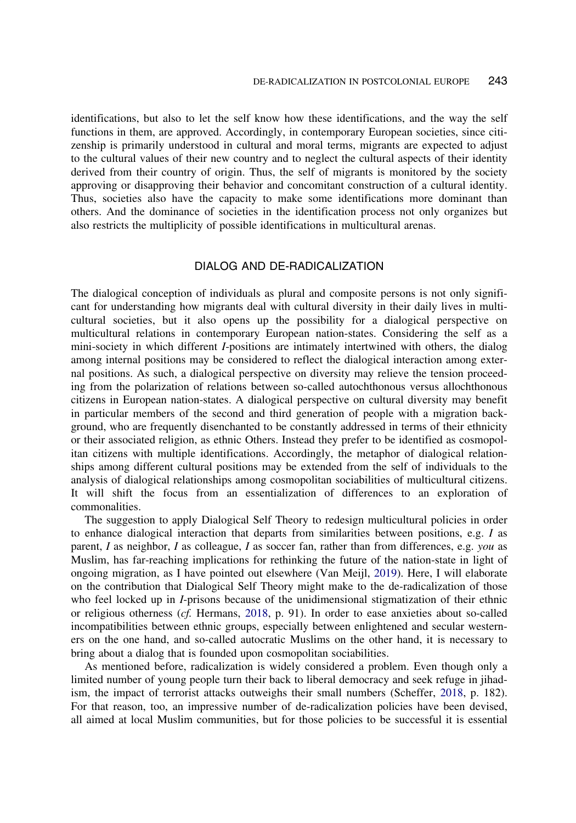<span id="page-8-0"></span>identifications, but also to let the self know how these identifications, and the way the self functions in them, are approved. Accordingly, in contemporary European societies, since citizenship is primarily understood in cultural and moral terms, migrants are expected to adjust to the cultural values of their new country and to neglect the cultural aspects of their identity derived from their country of origin. Thus, the self of migrants is monitored by the society approving or disapproving their behavior and concomitant construction of a cultural identity. Thus, societies also have the capacity to make some identifications more dominant than others. And the dominance of societies in the identification process not only organizes but also restricts the multiplicity of possible identifications in multicultural arenas.

# DIALOG AND DE-RADICALIZATION

The dialogical conception of individuals as plural and composite persons is not only significant for understanding how migrants deal with cultural diversity in their daily lives in multicultural societies, but it also opens up the possibility for a dialogical perspective on multicultural relations in contemporary European nation-states. Considering the self as a mini-society in which different I-positions are intimately intertwined with others, the dialog among internal positions may be considered to reflect the dialogical interaction among external positions. As such, a dialogical perspective on diversity may relieve the tension proceeding from the polarization of relations between so-called autochthonous versus allochthonous citizens in European nation-states. A dialogical perspective on cultural diversity may benefit in particular members of the second and third generation of people with a migration background, who are frequently disenchanted to be constantly addressed in terms of their ethnicity or their associated religion, as ethnic Others. Instead they prefer to be identified as cosmopolitan citizens with multiple identifications. Accordingly, the metaphor of dialogical relationships among different cultural positions may be extended from the self of individuals to the analysis of dialogical relationships among cosmopolitan sociabilities of multicultural citizens. It will shift the focus from an essentialization of differences to an exploration of commonalities.

The suggestion to apply Dialogical Self Theory to redesign multicultural policies in order to enhance dialogical interaction that departs from similarities between positions, e.g. I as parent, I as neighbor, I as colleague, I as soccer fan, rather than from differences, e.g. you as Muslim, has far-reaching implications for rethinking the future of the nation-state in light of ongoing migration, as I have pointed out elsewhere (Van Meijl, [2019](#page-11-0)). Here, I will elaborate on the contribution that Dialogical Self Theory might make to the de-radicalization of those who feel locked up in I-prisons because of the unidimensional stigmatization of their ethnic or religious otherness (cf. Hermans, 2018, p. 91). In order to ease anxieties about so-called incompatibilities between ethnic groups, especially between enlightened and secular westerners on the one hand, and so-called autocratic Muslims on the other hand, it is necessary to bring about a dialog that is founded upon cosmopolitan sociabilities.

As mentioned before, radicalization is widely considered a problem. Even though only a limited number of young people turn their back to liberal democracy and seek refuge in jihadism, the impact of terrorist attacks outweighs their small numbers (Scheffer, [2018](#page-10-0), p. 182). For that reason, too, an impressive number of de-radicalization policies have been devised, all aimed at local Muslim communities, but for those policies to be successful it is essential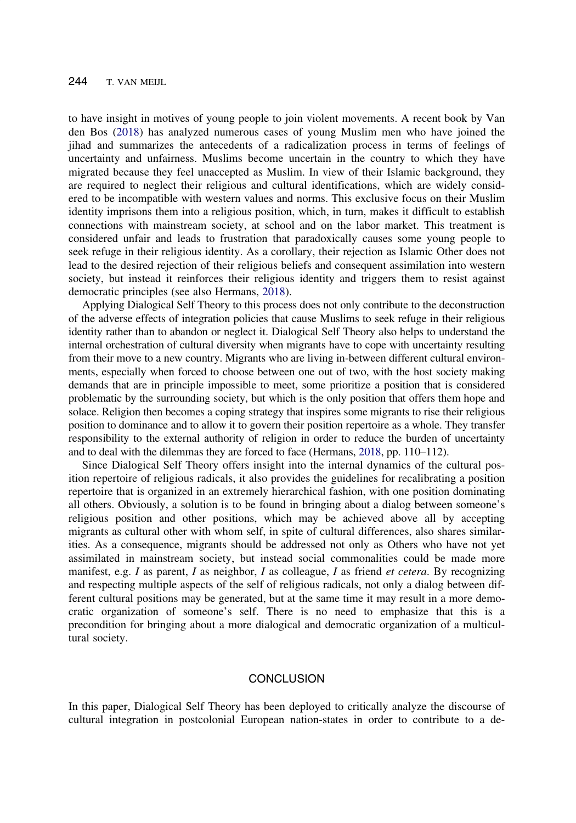<span id="page-9-0"></span>to have insight in motives of young people to join violent movements. A recent book by Van den Bos ([2018](#page-11-0)) has analyzed numerous cases of young Muslim men who have joined the jihad and summarizes the antecedents of a radicalization process in terms of feelings of uncertainty and unfairness. Muslims become uncertain in the country to which they have migrated because they feel unaccepted as Muslim. In view of their Islamic background, they are required to neglect their religious and cultural identifications, which are widely considered to be incompatible with western values and norms. This exclusive focus on their Muslim identity imprisons them into a religious position, which, in turn, makes it difficult to establish connections with mainstream society, at school and on the labor market. This treatment is considered unfair and leads to frustration that paradoxically causes some young people to seek refuge in their religious identity. As a corollary, their rejection as Islamic Other does not lead to the desired rejection of their religious beliefs and consequent assimilation into western society, but instead it reinforces their religious identity and triggers them to resist against democratic principles (see also Hermans, [2018\)](#page-8-0).

Applying Dialogical Self Theory to this process does not only contribute to the deconstruction of the adverse effects of integration policies that cause Muslims to seek refuge in their religious identity rather than to abandon or neglect it. Dialogical Self Theory also helps to understand the internal orchestration of cultural diversity when migrants have to cope with uncertainty resulting from their move to a new country. Migrants who are living in-between different cultural environments, especially when forced to choose between one out of two, with the host society making demands that are in principle impossible to meet, some prioritize a position that is considered problematic by the surrounding society, but which is the only position that offers them hope and solace. Religion then becomes a coping strategy that inspires some migrants to rise their religious position to dominance and to allow it to govern their position repertoire as a whole. They transfer responsibility to the external authority of religion in order to reduce the burden of uncertainty and to deal with the dilemmas they are forced to face (Hermans, [2018](#page-8-0), pp. 110–112).

Since Dialogical Self Theory offers insight into the internal dynamics of the cultural position repertoire of religious radicals, it also provides the guidelines for recalibrating a position repertoire that is organized in an extremely hierarchical fashion, with one position dominating all others. Obviously, a solution is to be found in bringing about a dialog between someone's religious position and other positions, which may be achieved above all by accepting migrants as cultural other with whom self, in spite of cultural differences, also shares similarities. As a consequence, migrants should be addressed not only as Others who have not yet assimilated in mainstream society, but instead social commonalities could be made more manifest, e.g. I as parent, I as neighbor, I as colleague, I as friend *et cetera*. By recognizing and respecting multiple aspects of the self of religious radicals, not only a dialog between different cultural positions may be generated, but at the same time it may result in a more democratic organization of someone's self. There is no need to emphasize that this is a precondition for bringing about a more dialogical and democratic organization of a multicultural society.

#### **CONCLUSION**

In this paper, Dialogical Self Theory has been deployed to critically analyze the discourse of cultural integration in postcolonial European nation-states in order to contribute to a de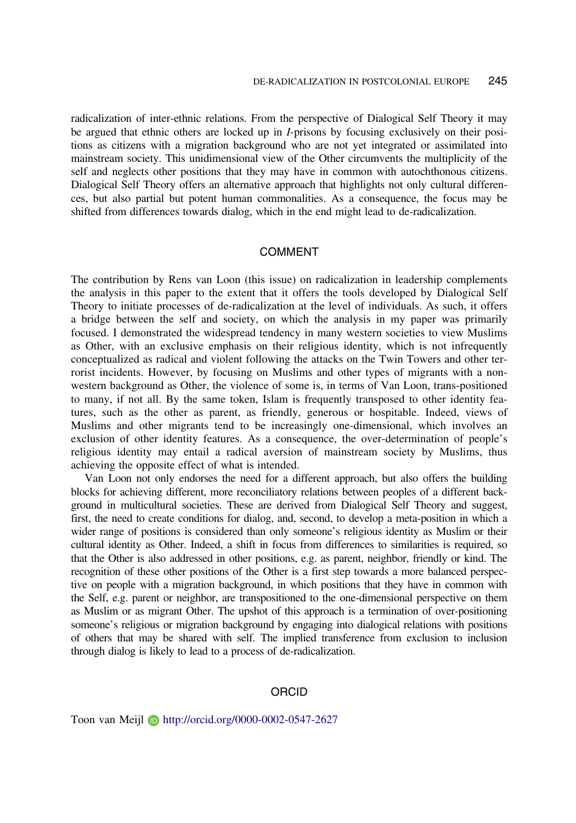<span id="page-10-0"></span>radicalization of inter-ethnic relations. From the perspective of Dialogical Self Theory it may be argued that ethnic others are locked up in I-prisons by focusing exclusively on their positions as citizens with a migration background who are not yet integrated or assimilated into mainstream society. This unidimensional view of the Other circumvents the multiplicity of the self and neglects other positions that they may have in common with autochthonous citizens. Dialogical Self Theory offers an alternative approach that highlights not only cultural differences, but also partial but potent human commonalities. As a consequence, the focus may be shifted from differences towards dialog, which in the end might lead to de-radicalization.

#### COMMENT

The contribution by Rens van Loon (this issue) on radicalization in leadership complements the analysis in this paper to the extent that it offers the tools developed by Dialogical Self Theory to initiate processes of de-radicalization at the level of individuals. As such, it offers a bridge between the self and society, on which the analysis in my paper was primarily focused. I demonstrated the widespread tendency in many western societies to view Muslims as Other, with an exclusive emphasis on their religious identity, which is not infrequently conceptualized as radical and violent following the attacks on the Twin Towers and other terrorist incidents. However, by focusing on Muslims and other types of migrants with a nonwestern background as Other, the violence of some is, in terms of Van Loon, trans-positioned to many, if not all. By the same token, Islam is frequently transposed to other identity features, such as the other as parent, as friendly, generous or hospitable. Indeed, views of Muslims and other migrants tend to be increasingly one-dimensional, which involves an exclusion of other identity features. As a consequence, the over-determination of people's religious identity may entail a radical aversion of mainstream society by Muslims, thus achieving the opposite effect of what is intended.

Van Loon not only endorses the need for a different approach, but also offers the building blocks for achieving different, more reconciliatory relations between peoples of a different background in multicultural societies. These are derived from Dialogical Self Theory and suggest, first, the need to create conditions for dialog, and, second, to develop a meta-position in which a wider range of positions is considered than only someone's religious identity as Muslim or their cultural identity as Other. Indeed, a shift in focus from differences to similarities is required, so that the Other is also addressed in other positions, e.g. as parent, neighbor, friendly or kind. The recognition of these other positions of the Other is a first step towards a more balanced perspective on people with a migration background, in which positions that they have in common with the Self, e.g. parent or neighbor, are transpositioned to the one-dimensional perspective on them as Muslim or as migrant Other. The upshot of this approach is a termination of over-positioning someone's religious or migration background by engaging into dialogical relations with positions of others that may be shared with self. The implied transference from exclusion to inclusion through dialog is likely to lead to a process of de-radicalization.

#### **ORCID**

Toon van Meijl D http://orcid.org/0000-0002-0547-2627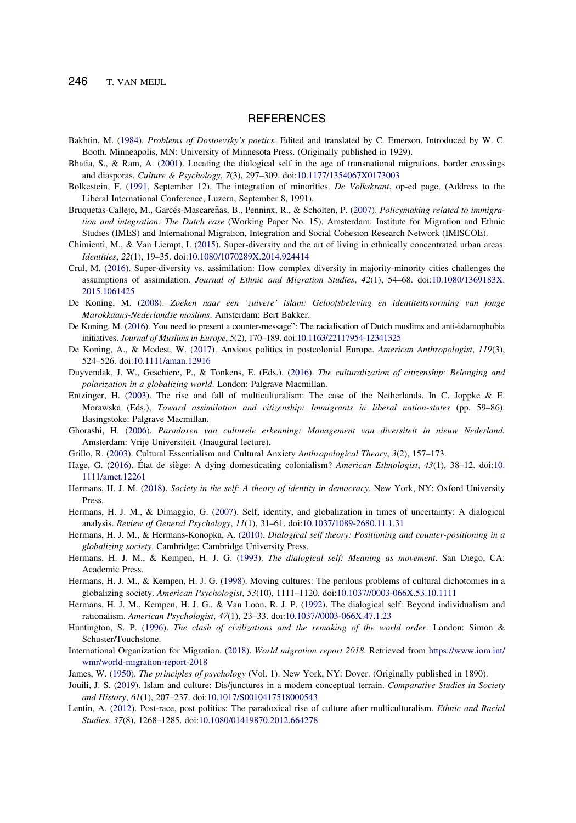<span id="page-11-0"></span>246 T. VAN MEIJL

## **REFERENCES**

- Bakhtin, M. [\(1984](#page-6-0)). Problems of Dostoevsky's poetics. Edited and translated by C. Emerson. Introduced by W. C. Booth. Minneapolis, MN: University of Minnesota Press. (Originally published in 1929).
- Bhatia, S., & Ram, A. ([2001\)](#page-6-0). Locating the dialogical self in the age of transnational migrations, border crossings and diasporas. Culture & Psychology, 7(3), 297–309. doi:[10.1177/1354067X0173003](https://doi.org/10.1177/1354067X0173003)
- Bolkestein, F. ([1991,](#page-1-0) September 12). The integration of minorities. De Volkskrant, op-ed page. (Address to the Liberal International Conference, Luzern, September 8, 1991).
- Bruquetas-Callejo, M., Garcés-Mascareñas, B., Penninx, R., & Scholten, P. [\(2007](#page-2-0)). Policymaking related to immigration and integration: The Dutch case (Working Paper No. 15). Amsterdam: Institute for Migration and Ethnic Studies (IMES) and International Migration, Integration and Social Cohesion Research Network (IMISCOE).
- Chimienti, M., & Van Liempt, I. ([2015\)](#page-5-0). Super-diversity and the art of living in ethnically concentrated urban areas. Identities, 22(1), 19–35. doi:[10.1080/1070289X.2014.924414](https://doi.org/10.1080/1070289X.2014.924414)
- Crul, M. ([2016\)](#page-0-0). Super-diversity vs. assimilation: How complex diversity in majority-minority cities challenges the assumptions of assimilation. Journal of Ethnic and Migration Studies, 42(1), 54–68. doi:[10.1080/1369183X.](https://doi.org/10.1080/1369183X.2015.1061425) [2015.1061425](https://doi.org/10.1080/1369183X.2015.1061425)
- De Koning, M. [\(2008](#page-0-0)). Zoeken naar een 'zuivere' islam: Geloofsbeleving en identiteitsvorming van jonge Marokkaans-Nederlandse moslims. Amsterdam: Bert Bakker.
- De Koning, M. ([2016\)](#page-1-0). You need to present a counter-message": The racialisation of Dutch muslims and anti-islamophobia initiatives. Journal of Muslims in Europe, 5(2), 170–189. doi[:10.1163/22117954-12341325](https://doi.org/10.1163/22117954-12341325)
- De Koning, A., & Modest, W. [\(2017](#page--1-0)). Anxious politics in postcolonial Europe. American Anthropologist, 119(3), 524–526. doi:[10.1111/aman.12916](https://doi.org/10.1111/aman.12916)
- Duyvendak, J. W., Geschiere, P., & Tonkens, E. (Eds.). [\(2016](#page-2-0)). The culturalization of citizenship: Belonging and polarization in a globalizing world. London: Palgrave Macmillan.
- Entzinger, H. [\(2003](#page-1-0)). The rise and fall of multiculturalism: The case of the Netherlands. In C. Joppke & E. Morawska (Eds.), Toward assimilation and citizenship: Immigrants in liberal nation-states (pp. 59–86). Basingstoke: Palgrave Macmillan.
- Ghorashi, H. [\(2006](#page-4-0)). Paradoxen van culturele erkenning: Management van diversiteit in nieuw Nederland. Amsterdam: Vrije Universiteit. (Inaugural lecture).
- Grillo, R. ([2003\)](#page-3-0). Cultural Essentialism and Cultural Anxiety Anthropological Theory, 3(2), 157-173.
- Hage, G. [\(2016](#page-4-0)). Etat de siège: A dying domesticating colonialism? American Ethnologist, 43(1), 38–12. doi:[10.](https://doi.org/10.1111/amet.12261) [1111/amet.12261](https://doi.org/10.1111/amet.12261)
- Hermans, H. J. M. ([2018\)](#page-7-0). Society in the self: A theory of identity in democracy. New York, NY: Oxford University Press.
- Hermans, H. J. M., & Dimaggio, G. [\(2007](#page-6-0)). Self, identity, and globalization in times of uncertainty: A dialogical analysis. Review of General Psychology, 11(1), 31–61. doi:[10.1037/1089-2680.11.1.31](https://doi.org/10.1037/1089-2680.11.1.31)
- Hermans, H. J. M., & Hermans-Konopka, A. [\(2010](#page-6-0)). Dialogical self theory: Positioning and counter-positioning in a globalizing society. Cambridge: Cambridge University Press.
- Hermans, H. J. M., & Kempen, H. J. G. ([1993\)](#page-6-0). The dialogical self: Meaning as movement. San Diego, CA: Academic Press.
- Hermans, H. J. M., & Kempen, H. J. G. ([1998\)](#page-6-0). Moving cultures: The perilous problems of cultural dichotomies in a globalizing society. American Psychologist, 53(10), 1111-1120. doi:[10.1037//0003-066X.53.10.1111](https://doi.org/10.1037//0003-066X.53.10.1111)
- Hermans, H. J. M., Kempen, H. J. G., & Van Loon, R. J. P. [\(1992](#page-6-0)). The dialogical self: Beyond individualism and rationalism. American Psychologist, 47(1), 23–33. doi:[10.1037//0003-066X.47.1.23](https://doi.org/10.1037//0003-066X.47.1.23)
- Huntington, S. P. ([1996\)](#page-1-0). The clash of civilizations and the remaking of the world order. London: Simon & Schuster/Touchstone.
- International Organization for Migration. (2018). World migration report 2018. Retrieved from [https://www.iom.int/](https://www.iom.int/wmr/world-migration-report-2018) [wmr/world-migration-report-2018](https://www.iom.int/wmr/world-migration-report-2018)
- James, W. (1950). The principles of psychology (Vol. 1). New York, NY: Dover. (Originally published in 1890).
- Jouili, J. S. [\(2019](#page-4-0)). Islam and culture: Dis/junctures in a modern conceptual terrain. Comparative Studies in Society and History, 61(1), 207–237. doi[:10.1017/S0010417518000543](https://doi.org/10.1017/S0010417518000543)
- Lentin, A. [\(2012](#page-3-0)). Post-race, post politics: The paradoxical rise of culture after multiculturalism. Ethnic and Racial Studies, 37(8), 1268–1285. doi[:10.1080/01419870.2012.664278](https://doi.org/10.1080/01419870.2012.664278)